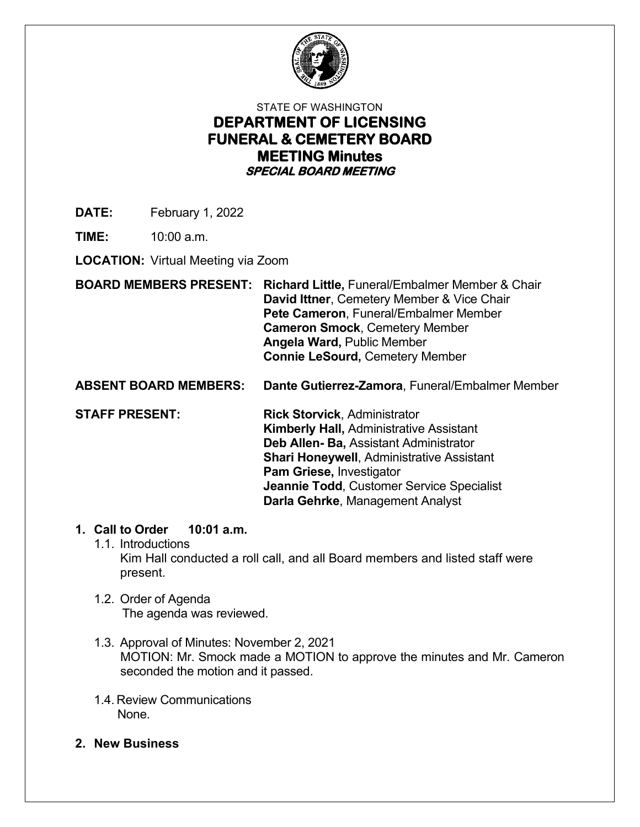

# STATE OF WASHINGTON **DEPARTMENT OF LICENSING FUNERAL & CEMETERY BOARD MEETING Minutes SPECIAL BOARD MEETING**

- **DATE:** February 1, 2022
- **TIME:** 10:00 a.m.

**LOCATION:** Virtual Meeting via Zoom

**BOARD MEMBERS PRESENT: Richard Little,** Funeral/Embalmer Member & Chair  **David Ittner**, Cemetery Member & Vice Chair  **Pete Cameron**, Funeral/Embalmer Member **Cameron Smock**, Cemetery Member  **Angela Ward,** Public Member **Connie LeSourd,** Cemetery Member

**ABSENT BOARD MEMBERS: Dante Gutierrez-Zamora**, Funeral/Embalmer Member

**STAFF PRESENT: Rick Storvick**, Administrator  **Kimberly Hall,** Administrative Assistant **Deb Allen- Ba,** Assistant Administrator **Shari Honeywell**, Administrative Assistant  **Pam Griese,** Investigator **Jeannie Todd**, Customer Service Specialist **Darla Gehrke**, Management Analyst

# **1. Call to Order 10:01 a.m.**

- 1.1. Introductions Kim Hall conducted a roll call, and all Board members and listed staff were present.
- 1.2. Order of Agenda The agenda was reviewed.
- 1.3. Approval of Minutes: November 2, 2021 MOTION: Mr. Smock made a MOTION to approve the minutes and Mr. Cameron seconded the motion and it passed.
- 1.4. Review Communications None.
- **2. New Business**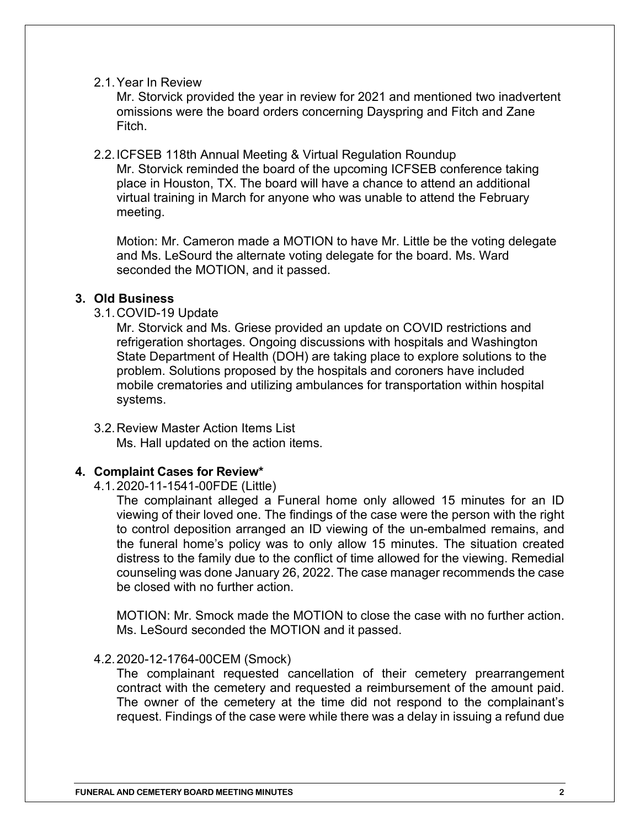## 2.1.Year In Review

Mr. Storvick provided the year in review for 2021 and mentioned two inadvertent omissions were the board orders concerning Dayspring and Fitch and Zane Fitch.

## 2.2.ICFSEB 118th Annual Meeting & Virtual Regulation Roundup

Mr. Storvick reminded the board of the upcoming ICFSEB conference taking place in Houston, TX. The board will have a chance to attend an additional virtual training in March for anyone who was unable to attend the February meeting.

Motion: Mr. Cameron made a MOTION to have Mr. Little be the voting delegate and Ms. LeSourd the alternate voting delegate for the board. Ms. Ward seconded the MOTION, and it passed.

# **3. Old Business**

3.1.COVID-19 Update

Mr. Storvick and Ms. Griese provided an update on COVID restrictions and refrigeration shortages. Ongoing discussions with hospitals and Washington State Department of Health (DOH) are taking place to explore solutions to the problem. Solutions proposed by the hospitals and coroners have included mobile crematories and utilizing ambulances for transportation within hospital systems.

3.2.Review Master Action Items List Ms. Hall updated on the action items.

# **4. Complaint Cases for Review\***

4.1.2020-11-1541-00FDE (Little)

The complainant alleged a Funeral home only allowed 15 minutes for an ID viewing of their loved one. The findings of the case were the person with the right to control deposition arranged an ID viewing of the un-embalmed remains, and the funeral home's policy was to only allow 15 minutes. The situation created distress to the family due to the conflict of time allowed for the viewing. Remedial counseling was done January 26, 2022. The case manager recommends the case be closed with no further action.

MOTION: Mr. Smock made the MOTION to close the case with no further action. Ms. LeSourd seconded the MOTION and it passed.

# 4.2.2020-12-1764-00CEM (Smock)

The complainant requested cancellation of their cemetery prearrangement contract with the cemetery and requested a reimbursement of the amount paid. The owner of the cemetery at the time did not respond to the complainant's request. Findings of the case were while there was a delay in issuing a refund due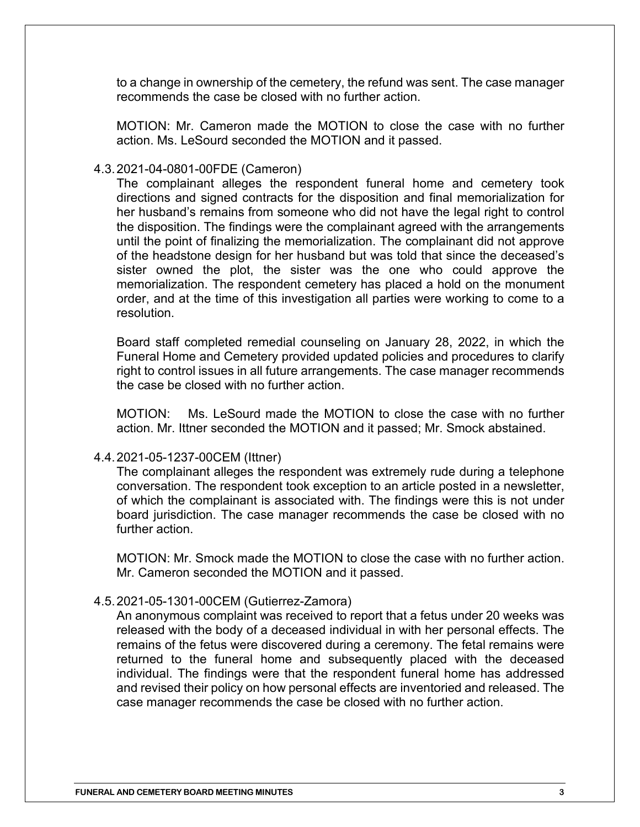to a change in ownership of the cemetery, the refund was sent. The case manager recommends the case be closed with no further action.

MOTION: Mr. Cameron made the MOTION to close the case with no further action. Ms. LeSourd seconded the MOTION and it passed.

#### 4.3.2021-04-0801-00FDE (Cameron)

The complainant alleges the respondent funeral home and cemetery took directions and signed contracts for the disposition and final memorialization for her husband's remains from someone who did not have the legal right to control the disposition. The findings were the complainant agreed with the arrangements until the point of finalizing the memorialization. The complainant did not approve of the headstone design for her husband but was told that since the deceased's sister owned the plot, the sister was the one who could approve the memorialization. The respondent cemetery has placed a hold on the monument order, and at the time of this investigation all parties were working to come to a resolution.

Board staff completed remedial counseling on January 28, 2022, in which the Funeral Home and Cemetery provided updated policies and procedures to clarify right to control issues in all future arrangements. The case manager recommends the case be closed with no further action.

MOTION: Ms. LeSourd made the MOTION to close the case with no further action. Mr. Ittner seconded the MOTION and it passed; Mr. Smock abstained.

#### 4.4.2021-05-1237-00CEM (Ittner)

The complainant alleges the respondent was extremely rude during a telephone conversation. The respondent took exception to an article posted in a newsletter, of which the complainant is associated with. The findings were this is not under board jurisdiction. The case manager recommends the case be closed with no further action.

MOTION: Mr. Smock made the MOTION to close the case with no further action. Mr. Cameron seconded the MOTION and it passed.

#### 4.5.2021-05-1301-00CEM (Gutierrez-Zamora)

An anonymous complaint was received to report that a fetus under 20 weeks was released with the body of a deceased individual in with her personal effects. The remains of the fetus were discovered during a ceremony. The fetal remains were returned to the funeral home and subsequently placed with the deceased individual. The findings were that the respondent funeral home has addressed and revised their policy on how personal effects are inventoried and released. The case manager recommends the case be closed with no further action.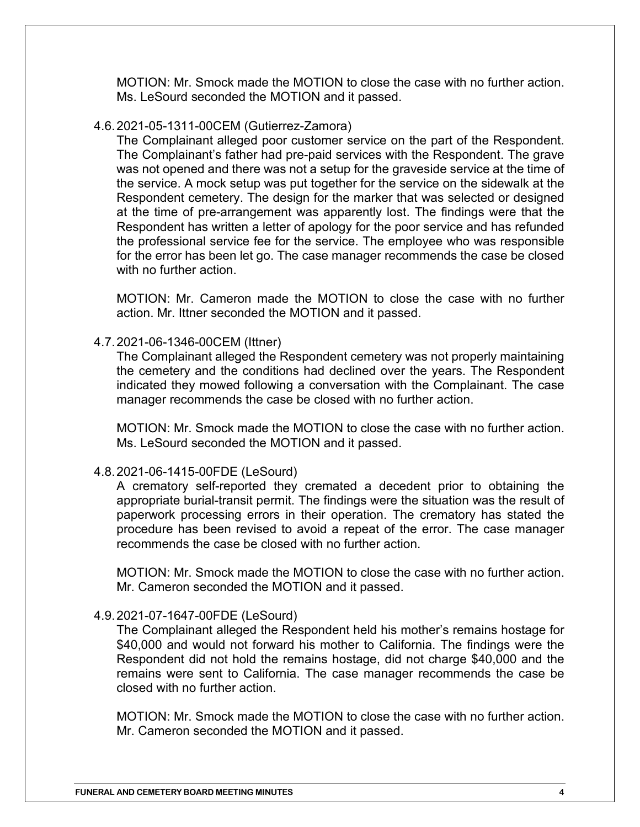MOTION: Mr. Smock made the MOTION to close the case with no further action. Ms. LeSourd seconded the MOTION and it passed.

#### 4.6.2021-05-1311-00CEM (Gutierrez-Zamora)

The Complainant alleged poor customer service on the part of the Respondent. The Complainant's father had pre-paid services with the Respondent. The grave was not opened and there was not a setup for the graveside service at the time of the service. A mock setup was put together for the service on the sidewalk at the Respondent cemetery. The design for the marker that was selected or designed at the time of pre-arrangement was apparently lost. The findings were that the Respondent has written a letter of apology for the poor service and has refunded the professional service fee for the service. The employee who was responsible for the error has been let go. The case manager recommends the case be closed with no further action.

MOTION: Mr. Cameron made the MOTION to close the case with no further action. Mr. Ittner seconded the MOTION and it passed.

### 4.7.2021-06-1346-00CEM (Ittner)

The Complainant alleged the Respondent cemetery was not properly maintaining the cemetery and the conditions had declined over the years. The Respondent indicated they mowed following a conversation with the Complainant. The case manager recommends the case be closed with no further action.

MOTION: Mr. Smock made the MOTION to close the case with no further action. Ms. LeSourd seconded the MOTION and it passed.

#### 4.8.2021-06-1415-00FDE (LeSourd)

A crematory self-reported they cremated a decedent prior to obtaining the appropriate burial-transit permit. The findings were the situation was the result of paperwork processing errors in their operation. The crematory has stated the procedure has been revised to avoid a repeat of the error. The case manager recommends the case be closed with no further action.

MOTION: Mr. Smock made the MOTION to close the case with no further action. Mr. Cameron seconded the MOTION and it passed.

#### 4.9.2021-07-1647-00FDE (LeSourd)

The Complainant alleged the Respondent held his mother's remains hostage for \$40,000 and would not forward his mother to California. The findings were the Respondent did not hold the remains hostage, did not charge \$40,000 and the remains were sent to California. The case manager recommends the case be closed with no further action.

MOTION: Mr. Smock made the MOTION to close the case with no further action. Mr. Cameron seconded the MOTION and it passed.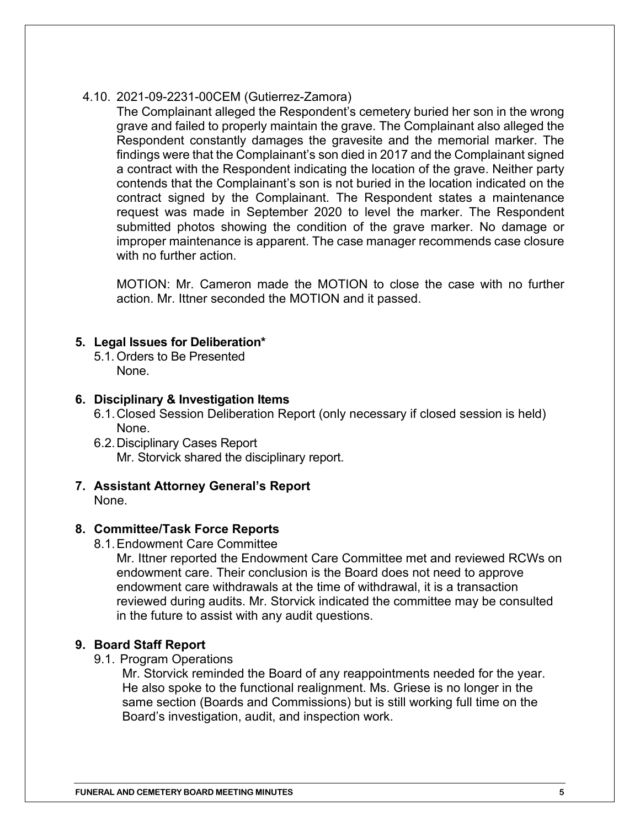# 4.10. 2021-09-2231-00CEM (Gutierrez-Zamora)

The Complainant alleged the Respondent's cemetery buried her son in the wrong grave and failed to properly maintain the grave. The Complainant also alleged the Respondent constantly damages the gravesite and the memorial marker. The findings were that the Complainant's son died in 2017 and the Complainant signed a contract with the Respondent indicating the location of the grave. Neither party contends that the Complainant's son is not buried in the location indicated on the contract signed by the Complainant. The Respondent states a maintenance request was made in September 2020 to level the marker. The Respondent submitted photos showing the condition of the grave marker. No damage or improper maintenance is apparent. The case manager recommends case closure with no further action.

MOTION: Mr. Cameron made the MOTION to close the case with no further action. Mr. Ittner seconded the MOTION and it passed.

# **5. Legal Issues for Deliberation\***

5.1. Orders to Be Presented None.

## **6. Disciplinary & Investigation Items**

- 6.1.Closed Session Deliberation Report (only necessary if closed session is held) None.
- 6.2.Disciplinary Cases Report Mr. Storvick shared the disciplinary report.
- **7. Assistant Attorney General's Report** None.

## **8. Committee/Task Force Reports**

8.1.Endowment Care Committee

Mr. Ittner reported the Endowment Care Committee met and reviewed RCWs on endowment care. Their conclusion is the Board does not need to approve endowment care withdrawals at the time of withdrawal, it is a transaction reviewed during audits. Mr. Storvick indicated the committee may be consulted in the future to assist with any audit questions.

# **9. Board Staff Report**

9.1. Program Operations

Mr. Storvick reminded the Board of any reappointments needed for the year. He also spoke to the functional realignment. Ms. Griese is no longer in the same section (Boards and Commissions) but is still working full time on the Board's investigation, audit, and inspection work.